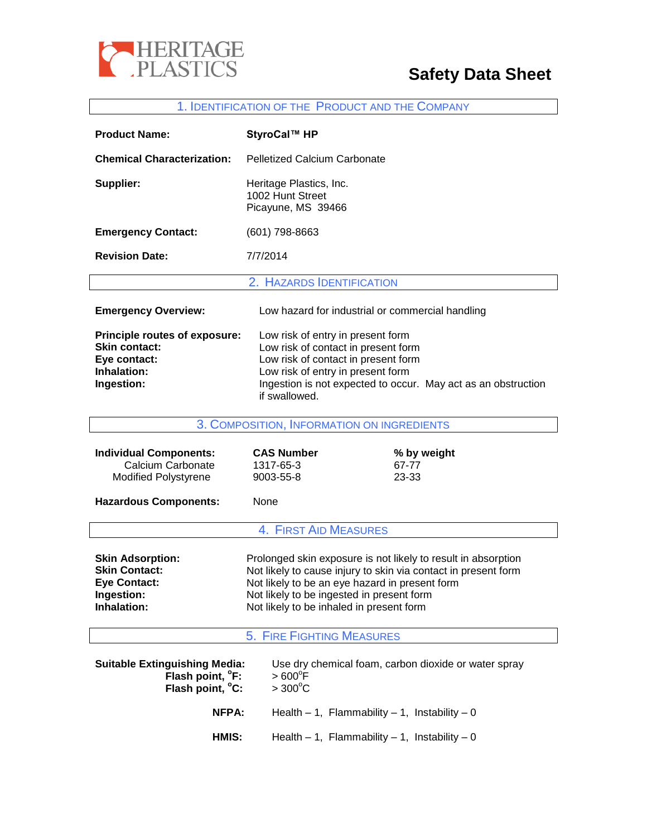

## **Safety Data Sheet**

# 1. IDENTIFICATION OF THE PRODUCT AND THE COMPANY **Product Name: StyroCal™ HP Chemical Characterization:** Pelletized Calcium Carbonate **Supplier:** Heritage Plastics, Inc. 1002 Hunt Street Picayune, MS 39466 **Emergency Contact:** (601) 798-8663 **Revision Date:** 7/7/2014 2. HAZARDS IDENTIFICATION **Emergency Overview:** Low hazard for industrial or commercial handling **Principle routes of exposure:** Low risk of entry in present form **Skin contact:** Low risk of contact in present form **Eye contact:** Low risk of contact in present form **Inhalation:** Low risk of entry in present form **Ingestion:** Ingestion is not expected to occur. May act as an obstruction if swallowed. 3. COMPOSITION, INFORMATION ON INGREDIENTS **Individual Components: CAS Number % by weight** Calcium Carbonate Modified Polystyrene 9003-55-8 23-33 **Hazardous Components:** None 4. FIRST AID MEASURES **Skin Adsorption:** Prolonged skin exposure is not likely to result in absorption<br>**Skin Contact: Propelly and Skin and Skin and Skin visits of the Skin Contact in present form Skin Contact:** Not likely to cause injury to skin via contact in present form **Eye Contact:** Not likely to be an eye hazard in present form **Ingestion:** Not likely to be ingested in present form **Inhalation:** Not likely to be inhaled in present form 5. FIRE FIGHTING MEASURES **Suitable Extinguishing Media:** Use dry chemical foam, carbon dioxide or water spray  **Flash point, <sup>o</sup> F:**  $>600^{\circ}$ F **Flash point,**  $^{\circ}$ **C:**  $> 300^{\circ}$ C **NFPA:** Health – 1, Flammability – 1, Instability – 0 **HMIS:** Health – 1, Flammability – 1, Instability – 0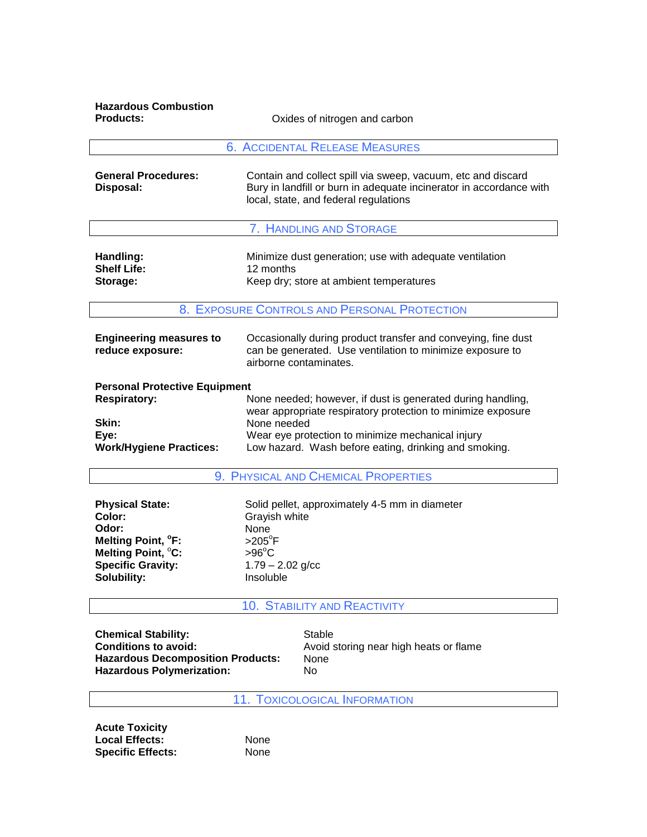**Hazardous Combustion** 

**Products** of nitrogen and carbon

### 6. ACCIDENTAL RELEASE MEASURES

| <b>General Procedures:</b> | Contain and collect spill via sweep, vacuum, etc and discard        |
|----------------------------|---------------------------------------------------------------------|
| Disposal:                  | Bury in landfill or burn in adequate incinerator in accordance with |
|                            | local, state, and federal regulations                               |

## 7. HANDLING AND STORAGE

| Handling:          | Minimize dust generation; use with adequate ventilation |
|--------------------|---------------------------------------------------------|
| <b>Shelf Life:</b> | 12 months                                               |
| Storage:           | Keep dry; store at ambient temperatures                 |

### 8. EXPOSURE CONTROLS AND PERSONAL PROTECTION

| <b>Engineering measures to</b><br>reduce exposure: | Occasionally during product transfer and conveying, fine dust<br>can be generated. Use ventilation to minimize exposure to<br>airborne contaminates. |  |
|----------------------------------------------------|------------------------------------------------------------------------------------------------------------------------------------------------------|--|
| <b>Personal Protective Equipment</b>               |                                                                                                                                                      |  |
| <b>Respiratory:</b>                                | None needed; however, if dust is generated during handling,<br>wear appropriate respiratory protection to minimize exposure                          |  |
| Skin:                                              | None needed                                                                                                                                          |  |
| Eye:                                               | Wear eye protection to minimize mechanical injury                                                                                                    |  |
| <b>Work/Hygiene Practices:</b>                     | Low hazard. Wash before eating, drinking and smoking.                                                                                                |  |

9. PHYSICAL AND CHEMICAL PROPERTIES

| <b>Physical State:</b>         | Solid pellet, approximately 4-5 mm in diameter |
|--------------------------------|------------------------------------------------|
| Color:                         | Grayish white                                  |
| Odor:                          | <b>None</b>                                    |
| Melting Point, <sup>o</sup> F: | $>205^\circ F$                                 |
| Melting Point, <sup>°</sup> C: | $>96^{\circ}$ C                                |
| <b>Specific Gravity:</b>       | $1.79 - 2.02$ g/cc                             |
| Solubility:                    | Insoluble                                      |

### 10. STABILITY AND REACTIVITY

**Chemical Stability:**<br> **Conditions to avoid:**<br>
Avoid s **Hazardous Decomposition Products:** None<br> **Hazardous Polymerization:** No **Hazardous Polymerization:** 

Avoid storing near high heats or flame

11. TOXICOLOGICAL INFORMATION

**Acute Toxicity Local Effects:** None **Specific Effects:** None